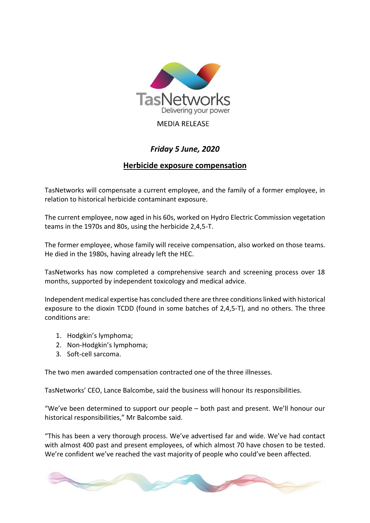

## **MEDIA RELEASE**

## *Friday 5 June, 2020*

## **Herbicide exposure compensation**

TasNetworks will compensate a current employee, and the family of a former employee, in relation to historical herbicide contaminant exposure.

The current employee, now aged in his 60s, worked on Hydro Electric Commission vegetation teams in the 1970s and 80s, using the herbicide 2,4,5-T.

The former employee, whose family will receive compensation, also worked on those teams. He died in the 1980s, having already left the HEC.

TasNetworks has now completed a comprehensive search and screening process over 18 months, supported by independent toxicology and medical advice.

Independent medical expertise has concluded there are three conditions linked with historical exposure to the dioxin TCDD (found in some batches of 2,4,5-T), and no others. The three conditions are:

- 1. Hodgkin's lymphoma;
- 2. Non-Hodgkin's lymphoma;
- 3. Soft-cell sarcoma.

The two men awarded compensation contracted one of the three illnesses.

TasNetworks' CEO, Lance Balcombe, said the business will honour its responsibilities.

"We've been determined to support our people – both past and present. We'll honour our historical responsibilities," Mr Balcombe said.

"This has been a very thorough process. We've advertised far and wide. We've had contact with almost 400 past and present employees, of which almost 70 have chosen to be tested. We're confident we've reached the vast majority of people who could've been affected.